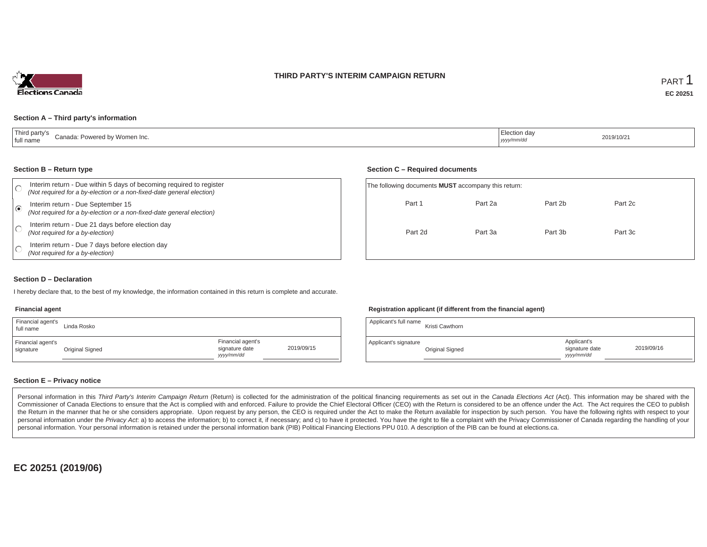### **THIRD PARTY'S INTERIM CAMPAIGN RETURN**



### **Section A – Third party's information**

| $-$ . $-$<br>Canada: Powered by Women Inc.<br>full name<br>the contract of the contract of the contract of the contract of the contract of | Election dav<br>$\overline{\phantom{a}}$<br>yyyy/mm/dc | 2019/10/21 |
|--------------------------------------------------------------------------------------------------------------------------------------------|--------------------------------------------------------|------------|
|--------------------------------------------------------------------------------------------------------------------------------------------|--------------------------------------------------------|------------|

#### **Section B – Return type**

| Interim return - Due within 5 days of becoming required to register<br>(Not required for a by-election or a non-fixed-date general election) | The following documents <b>MUST</b> accompany this return: |         |         |         |  |
|----------------------------------------------------------------------------------------------------------------------------------------------|------------------------------------------------------------|---------|---------|---------|--|
| Interim return - Due September 15<br>(Not required for a by-election or a non-fixed-date general election)                                   | Part 1                                                     | Part 2a | Part 2b | Part 2c |  |
| Interim return - Due 21 days before election day<br>(Not required for a by-election)                                                         | Part 2d                                                    | Part 3a | Part 3b | Part 3c |  |
| Interim return - Due 7 days before election day<br>(Not required for a by-election)                                                          |                                                            |         |         |         |  |

### **Section D – Declaration**

I hereby declare that, to the best of my knowledge, the information contained in this return is complete and accurate.

#### **Financial agent**

| Financial agent's<br>full name | Linda Rosko     |                                                   |            | Applicant's full name | Kristi Cawthorn        |
|--------------------------------|-----------------|---------------------------------------------------|------------|-----------------------|------------------------|
| Financial agent's<br>signature | Original Signed | Financial agent's<br>signature date<br>yyyy/mm/dd | 2019/09/15 | Applicant's signature | <b>Original Signed</b> |

### **Registration applicant (if different from the financial agent)**

| Linda Rosko     |                                                   |            | Applicant's full name | Kristi Cawthorn |                                             |            |  |
|-----------------|---------------------------------------------------|------------|-----------------------|-----------------|---------------------------------------------|------------|--|
| Original Signed | Financial agent's<br>signature date<br>yyyy/mm/dd | 2019/09/15 | Applicant's signature | Original Signed | Applicant's<br>signature date<br>yyyy/mm/dd | 2019/09/16 |  |

### **Section E – Privacy notice**

Personal information in this Third Party's Interim Campaign Return (Return) is collected for the administration of the political financing requirements as set out in the Canada Elections Act (Act). This information may be Commissioner of Canada Elections to ensure that the Act is complied with and enforced. Failure to provide the Chief Electoral Officer (CEO) with the Return is considered to be an offence under the Act. The Act requires the the Return in the manner that he or she considers appropriate. Upon request by any person, the CEO is required under the Act to make the Return available for inspection by such person. You have the following rights with re personal information under the Privacy Act. a) to access the information; b) to correct it, if necessary; and c) to have it protected. You have the right to file a complaint with the Privacy Commissioner of Canada regardin personal information. Your personal information is retained under the personal information bank (PIB) Political Financing Elections PPU 010. A description of the PIB can be found at elections.ca.

**EC 20251 (2019/06)**

#### **Section C – Required documents**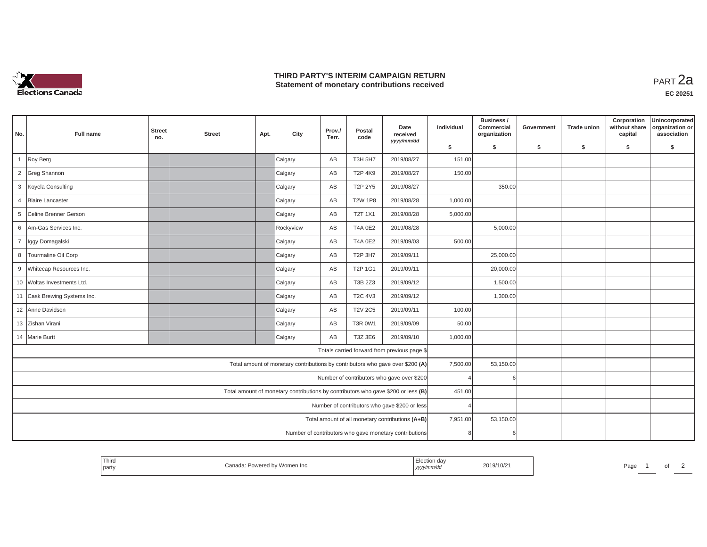

## **THIRD PARTY'S INTERIM CAMPAIGN RETURN THIRD PARTY'S INTERIM CAMPAIGN RETURN<br>Statement of monetary contributions received**

| No.            | Full name                                                                         | <b>Street</b><br>no.                                                           | <b>Street</b> | Apt. | City      | Prov./<br>Terr. | Postal<br>code | Date<br>received<br>yyyy/mm/dd               | Individual | Business /<br>Commercial<br>organization | Government | <b>Trade union</b> | Corporation<br>without share<br>capital | Unincorporated<br>organization or<br>association |
|----------------|-----------------------------------------------------------------------------------|--------------------------------------------------------------------------------|---------------|------|-----------|-----------------|----------------|----------------------------------------------|------------|------------------------------------------|------------|--------------------|-----------------------------------------|--------------------------------------------------|
|                |                                                                                   |                                                                                |               |      |           |                 |                |                                              | \$         | s.                                       | \$         | -S                 | \$                                      | \$                                               |
| $\overline{1}$ | Roy Berg                                                                          |                                                                                |               |      | Calgary   | AB              | <b>T3H 5H7</b> | 2019/08/27                                   | 151.00     |                                          |            |                    |                                         |                                                  |
|                | 2 Greg Shannon                                                                    |                                                                                |               |      | Calgary   | AB              | <b>T2P 4K9</b> | 2019/08/27                                   | 150.00     |                                          |            |                    |                                         |                                                  |
|                | 3 Koyela Consulting                                                               |                                                                                |               |      | Calgary   | AB              | T2P 2Y5        | 2019/08/27                                   |            | 350.00                                   |            |                    |                                         |                                                  |
|                | 4 Blaire Lancaster                                                                |                                                                                |               |      | Calgary   | AB              | <b>T2W 1P8</b> | 2019/08/28                                   | 1,000.00   |                                          |            |                    |                                         |                                                  |
|                | 5 Celine Brenner Gerson                                                           |                                                                                |               |      | Calgary   | AB              | <b>T2T 1X1</b> | 2019/08/28                                   | 5,000.00   |                                          |            |                    |                                         |                                                  |
|                | 6 Am-Gas Services Inc.                                                            |                                                                                |               |      | Rockyview | AB              | <b>T4A 0E2</b> | 2019/08/28                                   |            | 5,000.00                                 |            |                    |                                         |                                                  |
| $\overline{7}$ | Iggy Domagalski                                                                   |                                                                                |               |      | Calgary   | AB              | <b>T4A 0E2</b> | 2019/09/03                                   | 500.00     |                                          |            |                    |                                         |                                                  |
|                | 8 Tourmaline Oil Corp                                                             |                                                                                |               |      | Calgary   | AB              | T2P 3H7        | 2019/09/11                                   |            | 25,000.00                                |            |                    |                                         |                                                  |
| 9              | Whitecap Resources Inc.                                                           |                                                                                |               |      | Calgary   | AB              | T2P 1G1        | 2019/09/11                                   |            | 20,000.00                                |            |                    |                                         |                                                  |
|                | 10 Woltas Investments Ltd.                                                        |                                                                                |               |      | Calgary   | AB              | T3B 2Z3        | 2019/09/12                                   |            | 1,500.00                                 |            |                    |                                         |                                                  |
|                | 11 Cask Brewing Systems Inc.                                                      |                                                                                |               |      | Calgary   | AB              | <b>T2C 4V3</b> | 2019/09/12                                   |            | 1,300.00                                 |            |                    |                                         |                                                  |
|                | 12 Anne Davidson                                                                  |                                                                                |               |      | Calgary   | AB              | <b>T2V 2C5</b> | 2019/09/11                                   | 100.00     |                                          |            |                    |                                         |                                                  |
|                | 13 Zishan Virani                                                                  |                                                                                |               |      | Calgary   | AB              | <b>T3R 0W1</b> | 2019/09/09                                   | 50.00      |                                          |            |                    |                                         |                                                  |
|                | 14 Marie Burtt                                                                    |                                                                                |               |      | Calgary   | AB              | T3Z 3E6        | 2019/09/10                                   | 1,000.00   |                                          |            |                    |                                         |                                                  |
|                |                                                                                   |                                                                                |               |      |           |                 |                | Totals carried forward from previous page \$ |            |                                          |            |                    |                                         |                                                  |
|                |                                                                                   | Total amount of monetary contributions by contributors who gave over \$200 (A) |               |      |           |                 |                |                                              |            |                                          |            |                    |                                         |                                                  |
|                | Number of contributors who gave over \$200                                        |                                                                                |               |      |           |                 |                |                                              |            |                                          |            |                    |                                         |                                                  |
|                | Total amount of monetary contributions by contributors who gave \$200 or less (B) |                                                                                |               |      |           |                 |                |                                              |            |                                          |            |                    |                                         |                                                  |
|                | Number of contributors who gave \$200 or less                                     |                                                                                |               |      |           |                 |                |                                              |            |                                          |            |                    |                                         |                                                  |
|                | Total amount of all monetary contributions (A+B)                                  |                                                                                |               |      |           |                 |                |                                              | 7,951.00   | 53,150.00                                |            |                    |                                         |                                                  |
|                | Number of contributors who gave monetary contributions                            |                                                                                |               |      |           |                 |                |                                              |            |                                          |            |                    |                                         |                                                  |

| <sup>1</sup> Thira<br>party | - 11 15 4 | , <i>yyyy</i> |  | $P_{\text{AOL}}$ |  | $\sim$<br>וש |  |
|-----------------------------|-----------|---------------|--|------------------|--|--------------|--|
|-----------------------------|-----------|---------------|--|------------------|--|--------------|--|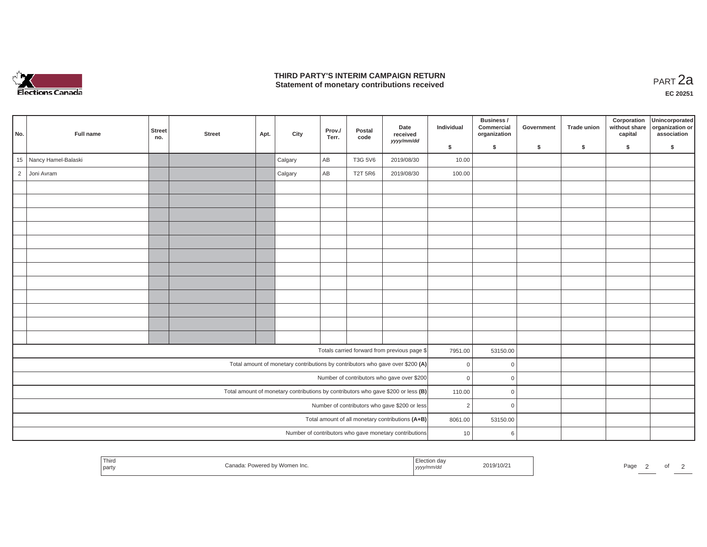

## **THIRD PARTY'S INTERIM CAMPAIGN RETURN THIRD PARTY'S INTERIM CAMPAIGN RETURN<br>Statement of monetary contributions received**

2

| No.            | Full name                                                                      | <b>Street</b><br>no.                                                                        | <b>Street</b>  | Apt.         | City    | Prov./<br>Terr.        | Postal<br>code | Date<br>received<br>yyyy/mm/dd | Individual | Business /<br>Commercial<br>organization | Government | <b>Trade union</b> | Corporation<br>without share<br>capital | Unincorporated<br>organization or<br>association |
|----------------|--------------------------------------------------------------------------------|---------------------------------------------------------------------------------------------|----------------|--------------|---------|------------------------|----------------|--------------------------------|------------|------------------------------------------|------------|--------------------|-----------------------------------------|--------------------------------------------------|
|                |                                                                                |                                                                                             |                |              |         |                        |                |                                | \$         | \$                                       | \$         | \$                 | \$                                      | \$                                               |
| 15             | Nancy Hamel-Balaski                                                            |                                                                                             |                |              | Calgary | AB                     | T3G 5V6        | 2019/08/30                     | 10.00      |                                          |            |                    |                                         |                                                  |
| $\overline{c}$ | Joni Avram                                                                     |                                                                                             |                |              | Calgary | $\mathsf{A}\mathsf{B}$ | <b>T2T 5R6</b> | 2019/08/30                     | 100.00     |                                          |            |                    |                                         |                                                  |
|                |                                                                                |                                                                                             |                |              |         |                        |                |                                |            |                                          |            |                    |                                         |                                                  |
|                |                                                                                |                                                                                             |                |              |         |                        |                |                                |            |                                          |            |                    |                                         |                                                  |
|                |                                                                                |                                                                                             |                |              |         |                        |                |                                |            |                                          |            |                    |                                         |                                                  |
|                |                                                                                |                                                                                             |                |              |         |                        |                |                                |            |                                          |            |                    |                                         |                                                  |
|                |                                                                                |                                                                                             |                |              |         |                        |                |                                |            |                                          |            |                    |                                         |                                                  |
|                |                                                                                |                                                                                             |                |              |         |                        |                |                                |            |                                          |            |                    |                                         |                                                  |
|                |                                                                                |                                                                                             |                |              |         |                        |                |                                |            |                                          |            |                    |                                         |                                                  |
|                |                                                                                |                                                                                             |                |              |         |                        |                |                                |            |                                          |            |                    |                                         |                                                  |
|                |                                                                                |                                                                                             |                |              |         |                        |                |                                |            |                                          |            |                    |                                         |                                                  |
|                |                                                                                |                                                                                             |                |              |         |                        |                |                                |            |                                          |            |                    |                                         |                                                  |
|                |                                                                                |                                                                                             |                |              |         |                        |                |                                |            |                                          |            |                    |                                         |                                                  |
|                |                                                                                |                                                                                             |                |              |         |                        |                |                                |            |                                          |            |                    |                                         |                                                  |
|                |                                                                                | Totals carried forward from previous page \$                                                |                |              |         |                        |                |                                |            | 7951.00<br>53150.00                      |            |                    |                                         |                                                  |
|                | Total amount of monetary contributions by contributors who gave over \$200 (A) |                                                                                             |                |              |         |                        |                |                                |            | $\mathsf 0$<br>$\Omega$                  |            |                    |                                         |                                                  |
|                | Number of contributors who gave over \$200                                     |                                                                                             |                |              |         |                        |                |                                |            | $\mathsf 0$<br>$\mathbf{0}$              |            |                    |                                         |                                                  |
|                |                                                                                | Total amount of monetary contributions by contributors who gave \$200 or less (B)<br>110.00 | $\mathbf 0$    |              |         |                        |                |                                |            |                                          |            |                    |                                         |                                                  |
|                |                                                                                | Number of contributors who gave \$200 or less                                               | $\overline{2}$ | $\mathbf{0}$ |         |                        |                |                                |            |                                          |            |                    |                                         |                                                  |
|                | Total amount of all monetary contributions (A+B)                               |                                                                                             |                |              |         |                        |                |                                |            | 53150.00<br>8061.00                      |            |                    |                                         |                                                  |
|                | Number of contributors who gave monetary contributions                         |                                                                                             |                |              |         |                        |                |                                |            | 6                                        |            |                    |                                         |                                                  |
|                |                                                                                |                                                                                             |                |              |         |                        |                |                                | 10         |                                          |            |                    |                                         |                                                  |

|  | Third<br>party | · Powered by Women Inc.<br>$\sim$ $\sim$ $\sim$ $\sim$<br>Janada. | ection day<br>yyyy/mm/dd | 2019/10/21 | Page |  |  |
|--|----------------|-------------------------------------------------------------------|--------------------------|------------|------|--|--|
|--|----------------|-------------------------------------------------------------------|--------------------------|------------|------|--|--|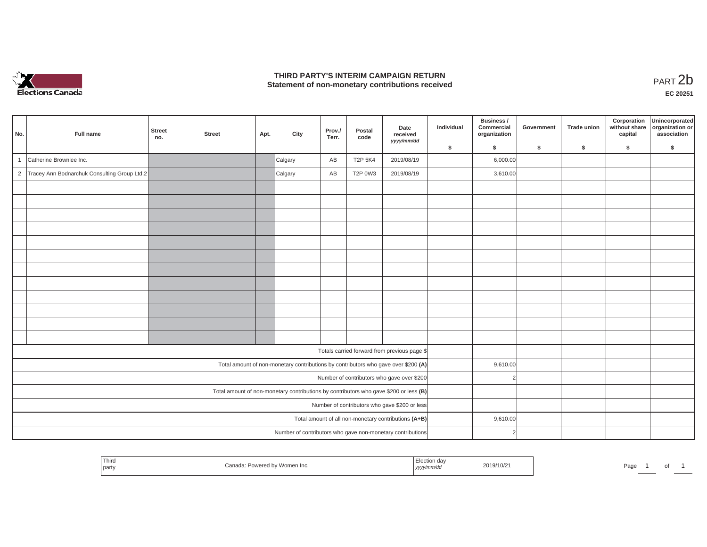

## **THIRD PARTY'S INTERIM CAMPAIGN RETURN**  THIRD PARTY'S INTERIM CAMPAIGN RETURN<br>Statement of non-monetary contributions received **PART 2b**

**EC 20251**

| No.            | Full name                                                                          | Street<br>no.                                                                           | <b>Street</b>                                              | Apt.     | City           | Prov./<br>Terr. | Postal<br>code | Date<br>received<br>yyyy/mm/dd | Individual | Business /<br>Commercial<br>organization | Government | Trade union  | Corporation<br>without share<br>capital | Unincorporated<br>organization or<br>association |
|----------------|------------------------------------------------------------------------------------|-----------------------------------------------------------------------------------------|------------------------------------------------------------|----------|----------------|-----------------|----------------|--------------------------------|------------|------------------------------------------|------------|--------------|-----------------------------------------|--------------------------------------------------|
|                |                                                                                    |                                                                                         |                                                            |          |                |                 |                |                                | \$         | \$                                       | \$         | $\mathsf{s}$ | \$                                      | \$                                               |
| $\overline{1}$ | Catherine Brownlee Inc.                                                            |                                                                                         |                                                            |          | Calgary        | AB              | <b>T2P 5K4</b> | 2019/08/19                     |            | 6,000.00                                 |            |              |                                         |                                                  |
| $\overline{c}$ | Tracey Ann Bodnarchuk Consulting Group Ltd.2                                       |                                                                                         |                                                            |          | Calgary        | AB              | T2P 0W3        | 2019/08/19                     |            | 3,610.00                                 |            |              |                                         |                                                  |
|                |                                                                                    |                                                                                         |                                                            |          |                |                 |                |                                |            |                                          |            |              |                                         |                                                  |
|                |                                                                                    |                                                                                         |                                                            |          |                |                 |                |                                |            |                                          |            |              |                                         |                                                  |
|                |                                                                                    |                                                                                         |                                                            |          |                |                 |                |                                |            |                                          |            |              |                                         |                                                  |
|                |                                                                                    |                                                                                         |                                                            |          |                |                 |                |                                |            |                                          |            |              |                                         |                                                  |
|                |                                                                                    |                                                                                         |                                                            |          |                |                 |                |                                |            |                                          |            |              |                                         |                                                  |
|                |                                                                                    |                                                                                         |                                                            |          |                |                 |                |                                |            |                                          |            |              |                                         |                                                  |
|                |                                                                                    |                                                                                         |                                                            |          |                |                 |                |                                |            |                                          |            |              |                                         |                                                  |
|                |                                                                                    |                                                                                         |                                                            |          |                |                 |                |                                |            |                                          |            |              |                                         |                                                  |
|                |                                                                                    |                                                                                         |                                                            |          |                |                 |                |                                |            |                                          |            |              |                                         |                                                  |
|                |                                                                                    |                                                                                         |                                                            |          |                |                 |                |                                |            |                                          |            |              |                                         |                                                  |
|                |                                                                                    |                                                                                         |                                                            |          |                |                 |                |                                |            |                                          |            |              |                                         |                                                  |
|                |                                                                                    |                                                                                         |                                                            |          |                |                 |                |                                |            |                                          |            |              |                                         |                                                  |
|                | Totals carried forward from previous page \$                                       |                                                                                         |                                                            |          |                |                 |                |                                |            |                                          |            |              |                                         |                                                  |
|                | Total amount of non-monetary contributions by contributors who gave over \$200 (A) |                                                                                         |                                                            |          |                |                 |                |                                |            | 9,610.00                                 |            |              |                                         |                                                  |
|                | Number of contributors who gave over \$200                                         |                                                                                         |                                                            |          |                |                 |                |                                |            | $\overline{2}$                           |            |              |                                         |                                                  |
|                |                                                                                    | Total amount of non-monetary contributions by contributors who gave \$200 or less $(B)$ |                                                            |          |                |                 |                |                                |            |                                          |            |              |                                         |                                                  |
|                |                                                                                    | Number of contributors who gave \$200 or less                                           |                                                            |          |                |                 |                |                                |            |                                          |            |              |                                         |                                                  |
|                |                                                                                    | Total amount of all non-monetary contributions (A+B)                                    |                                                            | 9,610.00 |                |                 |                |                                |            |                                          |            |              |                                         |                                                  |
|                |                                                                                    |                                                                                         | Number of contributors who gave non-monetary contributions |          | $\overline{2}$ |                 |                |                                |            |                                          |            |              |                                         |                                                  |

| Third<br>  party | ' by Women Inc.<br>Douward<br>JWE EU | Election da.<br>''/mm/c<br>,,,, | 2019/10/21 |  | Page | ◡ |  |
|------------------|--------------------------------------|---------------------------------|------------|--|------|---|--|
|------------------|--------------------------------------|---------------------------------|------------|--|------|---|--|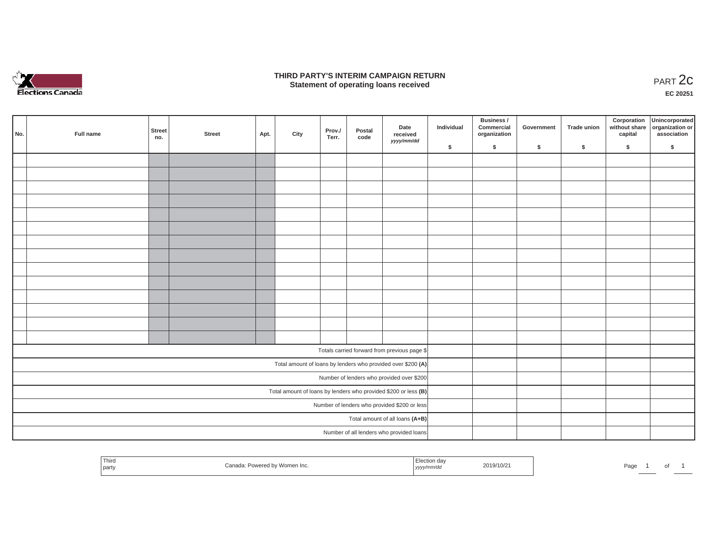

### **THIRD PARTY'S INTERIM CAMPAIGN RETURN**  RD PARTY'S INTERIM CAMPAIGN RETURN<br>Statement of operating loans received **PART 2c**

**EC 20251**

|     |                                              |                                                                   |        |      |      |                 |                |                                          |            | Business /                 |            |             |         | Corporation Unincorporated<br>without share organization or |
|-----|----------------------------------------------|-------------------------------------------------------------------|--------|------|------|-----------------|----------------|------------------------------------------|------------|----------------------------|------------|-------------|---------|-------------------------------------------------------------|
| No. | Full name                                    | Street<br>no.                                                     | Street | Apt. | City | Prov./<br>Terr. | Postal<br>code | Date<br>received<br>yyyy/mm/dd           | Individual | Commercial<br>organization | Government | Trade union | capital | association                                                 |
|     |                                              |                                                                   |        |      |      |                 |                |                                          | \$         | $\sqrt{2}$                 | \$         | $\sqrt{2}$  | \$      | \$                                                          |
|     |                                              |                                                                   |        |      |      |                 |                |                                          |            |                            |            |             |         |                                                             |
|     |                                              |                                                                   |        |      |      |                 |                |                                          |            |                            |            |             |         |                                                             |
|     |                                              |                                                                   |        |      |      |                 |                |                                          |            |                            |            |             |         |                                                             |
|     |                                              |                                                                   |        |      |      |                 |                |                                          |            |                            |            |             |         |                                                             |
|     |                                              |                                                                   |        |      |      |                 |                |                                          |            |                            |            |             |         |                                                             |
|     |                                              |                                                                   |        |      |      |                 |                |                                          |            |                            |            |             |         |                                                             |
|     |                                              |                                                                   |        |      |      |                 |                |                                          |            |                            |            |             |         |                                                             |
|     |                                              |                                                                   |        |      |      |                 |                |                                          |            |                            |            |             |         |                                                             |
|     |                                              |                                                                   |        |      |      |                 |                |                                          |            |                            |            |             |         |                                                             |
|     |                                              |                                                                   |        |      |      |                 |                |                                          |            |                            |            |             |         |                                                             |
|     |                                              |                                                                   |        |      |      |                 |                |                                          |            |                            |            |             |         |                                                             |
|     |                                              |                                                                   |        |      |      |                 |                |                                          |            |                            |            |             |         |                                                             |
|     |                                              |                                                                   |        |      |      |                 |                |                                          |            |                            |            |             |         |                                                             |
|     |                                              |                                                                   |        |      |      |                 |                |                                          |            |                            |            |             |         |                                                             |
|     | Totals carried forward from previous page \$ |                                                                   |        |      |      |                 |                |                                          |            |                            |            |             |         |                                                             |
|     |                                              | Total amount of loans by lenders who provided over \$200 (A)      |        |      |      |                 |                |                                          |            |                            |            |             |         |                                                             |
|     |                                              | Number of lenders who provided over \$200                         |        |      |      |                 |                |                                          |            |                            |            |             |         |                                                             |
|     |                                              | Total amount of loans by lenders who provided \$200 or less $(B)$ |        |      |      |                 |                |                                          |            |                            |            |             |         |                                                             |
|     |                                              | Number of lenders who provided \$200 or less                      |        |      |      |                 |                |                                          |            |                            |            |             |         |                                                             |
|     |                                              | Total amount of all loans (A+B)                                   |        |      |      |                 |                |                                          |            |                            |            |             |         |                                                             |
|     |                                              |                                                                   |        |      |      |                 |                | Number of all lenders who provided loans |            |                            |            |             |         |                                                             |

| Third<br>™omen Inc.<br>$\Gamma$<br>owered by '<br>party | 2019/10/21<br>נעצען<br>. | Page |
|---------------------------------------------------------|--------------------------|------|
|---------------------------------------------------------|--------------------------|------|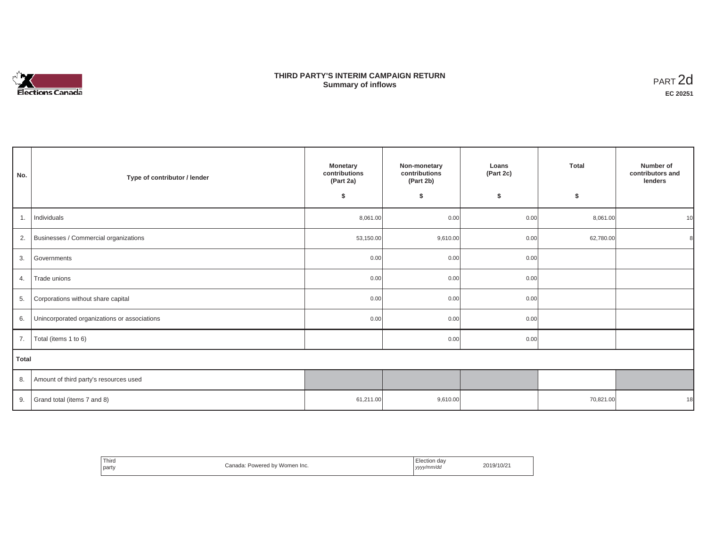

## **THIRD PARTY'S INTERIM CAMPAIGN RETURN SUMMARY STATE SUMMARY OF A SUMMARY OF A SUMMARY OF A SUMMARY OF A SUMMARY OF A SUMMARY OF A SUMMARY OF A SUMMA**<br> **Summary of inflows**

| No.   | Type of contributor / lender                    | <b>Monetary</b><br>contributions<br>(Part 2a)<br>\$ | Non-monetary<br>contributions<br>(Part 2b)<br>\$ | Loans<br>(Part 2c)<br>\$ | <b>Total</b><br>\$ | Number of<br>contributors and<br>lenders |
|-------|-------------------------------------------------|-----------------------------------------------------|--------------------------------------------------|--------------------------|--------------------|------------------------------------------|
| 1.    | Individuals                                     | 8,061.00                                            | 0.00                                             | 0.00                     | 8,061.00           | 10                                       |
|       | 2. Businesses / Commercial organizations        | 53,150.00                                           | 9,610.00                                         | 0.00                     | 62,780.00          |                                          |
| 3.    | Governments                                     | 0.00                                                | 0.00                                             | 0.00                     |                    |                                          |
| 4.    | Trade unions                                    | 0.00                                                | 0.00                                             | 0.00                     |                    |                                          |
|       | 5. Corporations without share capital           | 0.00                                                | 0.00                                             | 0.00                     |                    |                                          |
|       | 6. Unincorporated organizations or associations | 0.00                                                | 0.00                                             | 0.00                     |                    |                                          |
| 7.    | Total (items 1 to 6)                            |                                                     | 0.00                                             | 0.00                     |                    |                                          |
| Total |                                                 |                                                     |                                                  |                          |                    |                                          |
|       | 8. Amount of third party's resources used       |                                                     |                                                  |                          |                    |                                          |
| 9.    | Grand total (items 7 and 8)                     | 61,211.00                                           | 9,610.00                                         |                          | 70,821.00          | 18                                       |

| Third | Canada:               | Election dav | 2019/10/21 |
|-------|-----------------------|--------------|------------|
| party | Powered by Women Inc. | yyyy/mm/dd   |            |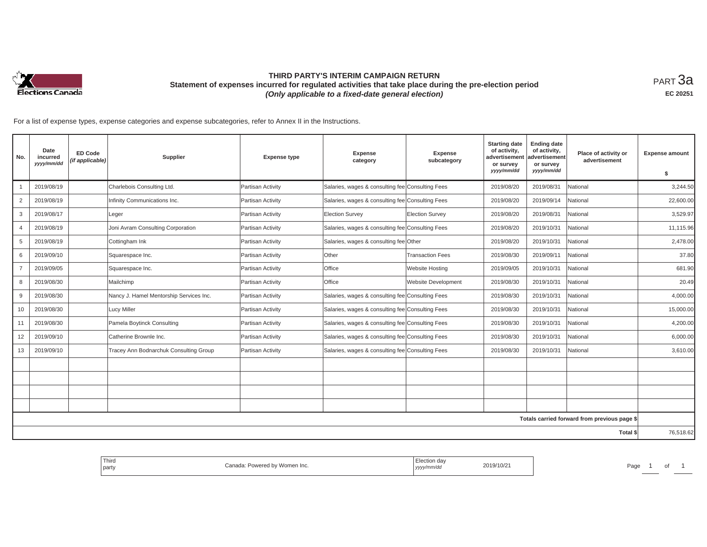

# **THIRD PARTY'S INTERIM CAMPAIGN RETURN Statement of expenses incurred for regulated activities that take place during the pre-election period**  *(Only applicable to a fixed-date general election)*

<code>PART $3$ a</code> **EC 20251**

For a list of expense types, expense categories and expense subcategories, refer to Annex II in the Instructions.

| No.            | Date<br>incurred<br>yyyy/mm/dd | <b>ED Code</b><br>(if applicable) | Supplier                                | <b>Expense type</b> | <b>Expense</b><br>category                       | Expense<br>subcategory  | <b>Starting date</b><br>of activity,<br>advertisement<br>or survey<br>yyyy/mm/dd | <b>Ending date</b><br>of activity,<br>advertisement<br>or survey<br>yyyy/mm/dd | Place of activity or<br>advertisement        | <b>Expense amount</b><br>\$ |
|----------------|--------------------------------|-----------------------------------|-----------------------------------------|---------------------|--------------------------------------------------|-------------------------|----------------------------------------------------------------------------------|--------------------------------------------------------------------------------|----------------------------------------------|-----------------------------|
|                | 2019/08/19                     |                                   | Charlebois Consulting Ltd.              | Partisan Activity   | Salaries, wages & consulting fee Consulting Fees |                         | 2019/08/20                                                                       | 2019/08/31                                                                     | National                                     | 3,244.50                    |
| $\overline{2}$ | 2019/08/19                     |                                   | Infinity Communications Inc.            | Partisan Activity   | Salaries, wages & consulting fee Consulting Fees |                         | 2019/08/20                                                                       | 2019/09/14                                                                     | National                                     | 22,600.00                   |
| 3              | 2019/08/17                     |                                   | Leger                                   | Partisan Activity   | <b>Election Survey</b>                           | Election Survey         | 2019/08/20                                                                       | 2019/08/31                                                                     | National                                     | 3,529.97                    |
| $\overline{4}$ | 2019/08/19                     |                                   | Joni Avram Consulting Corporation       | Partisan Activity   | Salaries, wages & consulting fee Consulting Fees |                         | 2019/08/20                                                                       | 2019/10/31                                                                     | National                                     | 11,115.96                   |
| 5              | 2019/08/19                     |                                   | Cottingham Ink                          | Partisan Activity   | Salaries, wages & consulting fee Other           |                         | 2019/08/20                                                                       | 2019/10/31                                                                     | National                                     | 2,478.00                    |
| 6              | 2019/09/10                     |                                   | Squarespace Inc.                        | Partisan Activity   | Other                                            | <b>Transaction Fees</b> | 2019/08/30                                                                       | 2019/09/11                                                                     | National                                     | 37.80                       |
|                | 2019/09/05                     |                                   | Squarespace Inc.                        | Partisan Activity   | Office                                           | <b>Website Hosting</b>  | 2019/09/05                                                                       | 2019/10/31                                                                     | National                                     | 681.90                      |
| 8              | 2019/08/30                     |                                   | Mailchimp                               | Partisan Activity   | Office                                           | Website Development     | 2019/08/30                                                                       | 2019/10/31                                                                     | National                                     | 20.49                       |
| 9              | 2019/08/30                     |                                   | Nancy J. Hamel Mentorship Services Inc. | Partisan Activity   | Salaries, wages & consulting fee Consulting Fees |                         | 2019/08/30                                                                       | 2019/10/31                                                                     | National                                     | 4,000.00                    |
| 10             | 2019/08/30                     |                                   | <b>Lucy Miller</b>                      | Partisan Activity   | Salaries, wages & consulting fee Consulting Fees |                         | 2019/08/30                                                                       | 2019/10/31                                                                     | National                                     | 15,000.00                   |
| 11             | 2019/08/30                     |                                   | Pamela Boytinck Consulting              | Partisan Activity   | Salaries, wages & consulting fee Consulting Fees |                         | 2019/08/30                                                                       | 2019/10/31                                                                     | National                                     | 4,200.00                    |
| 12             | 2019/09/10                     |                                   | Catherine Brownle Inc.                  | Partisan Activity   | Salaries, wages & consulting fee Consulting Fees |                         | 2019/08/30                                                                       | 2019/10/31                                                                     | National                                     | 6,000.00                    |
| 13             | 2019/09/10                     |                                   | Tracey Ann Bodnarchuk Consulting Group  | Partisan Activity   | Salaries, wages & consulting fee Consulting Fees |                         | 2019/08/30                                                                       | 2019/10/31                                                                     | National                                     | 3,610.00                    |
|                |                                |                                   |                                         |                     |                                                  |                         |                                                                                  |                                                                                |                                              |                             |
|                |                                |                                   |                                         |                     |                                                  |                         |                                                                                  |                                                                                |                                              |                             |
|                |                                |                                   |                                         |                     |                                                  |                         |                                                                                  |                                                                                |                                              |                             |
|                |                                |                                   |                                         |                     |                                                  |                         |                                                                                  |                                                                                |                                              |                             |
|                |                                |                                   |                                         |                     |                                                  |                         |                                                                                  |                                                                                | Totals carried forward from previous page \$ |                             |
|                |                                |                                   |                                         |                     |                                                  |                         |                                                                                  |                                                                                | Total \$                                     | 76,518.62                   |

| party<br>$\cdot$<br>, yyyymmvaa |  | ' Thira | ** Powered by Women Inc.<br>Canada: | l Uc | 2019/10/2 | Page |  |
|---------------------------------|--|---------|-------------------------------------|------|-----------|------|--|
|---------------------------------|--|---------|-------------------------------------|------|-----------|------|--|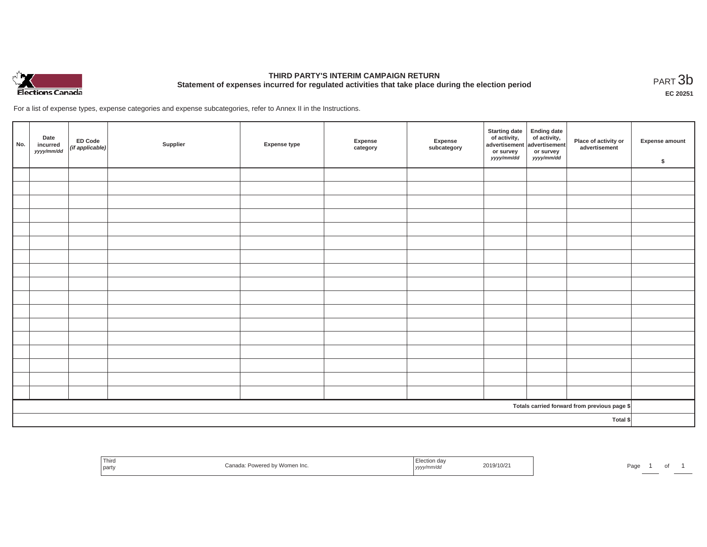

# **THIRD PARTY'S INTERIM CAMPAIGN RETURN Statement of expenses incurred for regulated activities that take place during the election period**<br>PART  $3b$

**EC 20251**

For a list of expense types, expense categories and expense subcategories, refer to Annex II in the Instructions.

| No. | Date<br>incurred<br>yyyy/mm/dd | ED Code<br>(if applicable) | Supplier | <b>Expense type</b> | Expense<br>category | Expense<br>subcategory | Starting date<br>of activity,<br>advertisement<br>or survey<br>yyyy/mm/dd | Ending date<br>of activity,<br>advertisement<br>or survey<br>yyyy/mm/dd | Place of activity or<br>advertisement        | Expense amount<br>\$ |
|-----|--------------------------------|----------------------------|----------|---------------------|---------------------|------------------------|---------------------------------------------------------------------------|-------------------------------------------------------------------------|----------------------------------------------|----------------------|
|     |                                |                            |          |                     |                     |                        |                                                                           |                                                                         |                                              |                      |
|     |                                |                            |          |                     |                     |                        |                                                                           |                                                                         |                                              |                      |
|     |                                |                            |          |                     |                     |                        |                                                                           |                                                                         |                                              |                      |
|     |                                |                            |          |                     |                     |                        |                                                                           |                                                                         |                                              |                      |
|     |                                |                            |          |                     |                     |                        |                                                                           |                                                                         |                                              |                      |
|     |                                |                            |          |                     |                     |                        |                                                                           |                                                                         |                                              |                      |
|     |                                |                            |          |                     |                     |                        |                                                                           |                                                                         |                                              |                      |
|     |                                |                            |          |                     |                     |                        |                                                                           |                                                                         |                                              |                      |
|     |                                |                            |          |                     |                     |                        |                                                                           |                                                                         |                                              |                      |
|     |                                |                            |          |                     |                     |                        |                                                                           |                                                                         |                                              |                      |
|     |                                |                            |          |                     |                     |                        |                                                                           |                                                                         |                                              |                      |
|     |                                |                            |          |                     |                     |                        |                                                                           |                                                                         |                                              |                      |
|     |                                |                            |          |                     |                     |                        |                                                                           |                                                                         |                                              |                      |
|     |                                |                            |          |                     |                     |                        |                                                                           |                                                                         |                                              |                      |
|     |                                |                            |          |                     |                     |                        |                                                                           |                                                                         |                                              |                      |
|     |                                |                            |          |                     |                     |                        |                                                                           |                                                                         |                                              |                      |
|     |                                |                            |          |                     |                     |                        |                                                                           |                                                                         |                                              |                      |
|     |                                |                            |          |                     |                     |                        |                                                                           |                                                                         | Totals carried forward from previous page \$ |                      |
|     | Total \$                       |                            |          |                     |                     |                        |                                                                           |                                                                         |                                              |                      |

| Third<br>party | Canada: Powered by Women Inc. | Election day<br>2019/10/21<br>yyyy/mm/dd | Page |
|----------------|-------------------------------|------------------------------------------|------|
|----------------|-------------------------------|------------------------------------------|------|